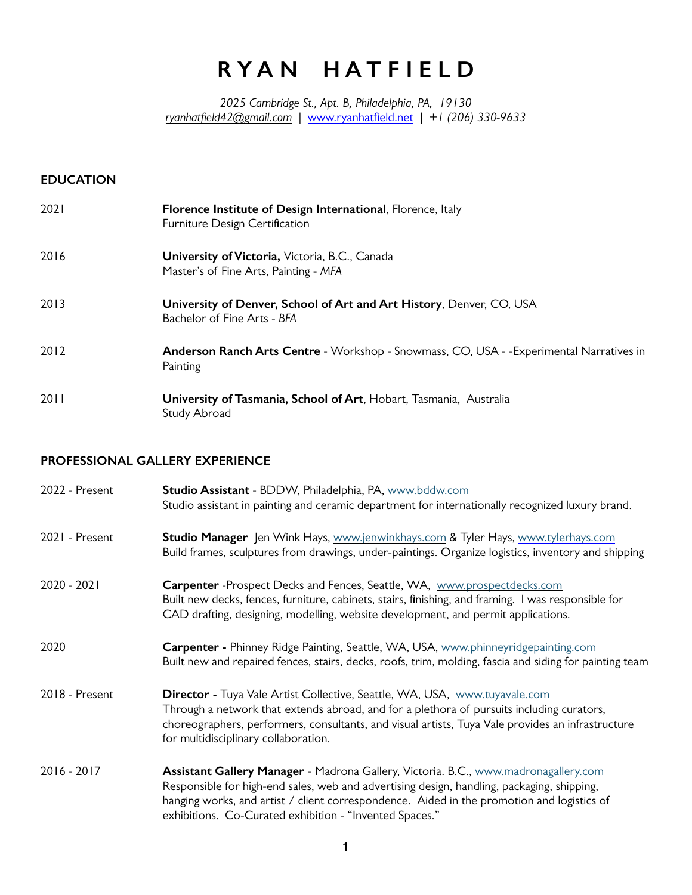# **R Y A N H A T F I E L D**

*2025 Cambridge St., Apt. B, Philadelphia, PA, 19130 [ryanhatfield42@gmail.com](mailto:Ryanhatfield42@gmail.com) |* [www.ryanhatfield.net](http://www.ryanhatfield.net) *| +1 (206) 330-9633*

## **EDUCATION**

| 2021 | <b>Florence Institute of Design International, Florence, Italy</b><br>Furniture Design Certification |
|------|------------------------------------------------------------------------------------------------------|
| 2016 | <b>University of Victoria, Victoria, B.C., Canada</b><br>Master's of Fine Arts, Painting - MFA       |
| 2013 | University of Denver, School of Art and Art History, Denver, CO, USA<br>Bachelor of Fine Arts - BFA  |
| 2012 | Anderson Ranch Arts Centre - Workshop - Snowmass, CO, USA - - Experimental Narratives in<br>Painting |
| 2011 | University of Tasmania, School of Art, Hobart, Tasmania, Australia<br>Study Abroad                   |

## **PROFESSIONAL GALLERY EXPERIENCE**

| 2022 - Present | Studio Assistant - BDDW, Philadelphia, PA, www.bddw.com<br>Studio assistant in painting and ceramic department for internationally recognized luxury brand.                                                                                                                                                                                |
|----------------|--------------------------------------------------------------------------------------------------------------------------------------------------------------------------------------------------------------------------------------------------------------------------------------------------------------------------------------------|
| 2021 - Present | Studio Manager Jen Wink Hays, www.jenwinkhays.com & Tyler Hays, www.tylerhays.com<br>Build frames, sculptures from drawings, under-paintings. Organize logistics, inventory and shipping                                                                                                                                                   |
| $2020 - 2021$  | Carpenter - Prospect Decks and Fences, Seattle, WA, www.prospectdecks.com<br>Built new decks, fences, furniture, cabinets, stairs, finishing, and framing. I was responsible for<br>CAD drafting, designing, modelling, website development, and permit applications.                                                                      |
| 2020           | Carpenter - Phinney Ridge Painting, Seattle, WA, USA, www.phinneyridgepainting.com<br>Built new and repaired fences, stairs, decks, roofs, trim, molding, fascia and siding for painting team                                                                                                                                              |
| 2018 - Present | Director - Tuya Vale Artist Collective, Seattle, WA, USA, www.tuyavale.com<br>Through a network that extends abroad, and for a plethora of pursuits including curators,<br>choreographers, performers, consultants, and visual artists, Tuya Vale provides an infrastructure<br>for multidisciplinary collaboration.                       |
| $2016 - 2017$  | Assistant Gallery Manager - Madrona Gallery, Victoria. B.C., www.madronagallery.com<br>Responsible for high-end sales, web and advertising design, handling, packaging, shipping,<br>hanging works, and artist / client correspondence. Aided in the promotion and logistics of<br>exhibitions. Co-Curated exhibition - "Invented Spaces." |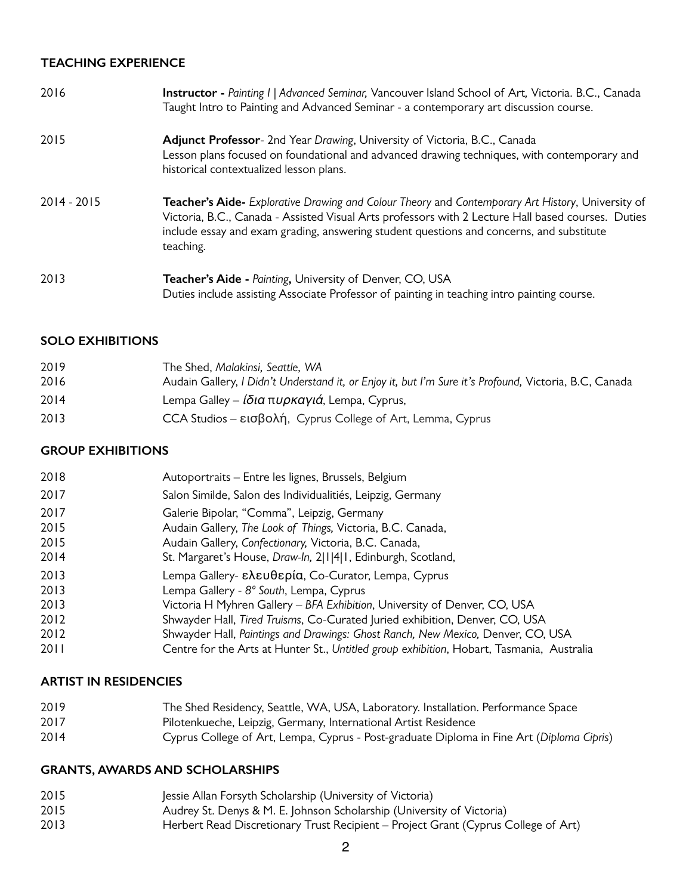#### **TEACHING EXPERIENCE**

| 2016          | Instructor - Painting I   Advanced Seminar, Vancouver Island School of Art, Victoria. B.C., Canada<br>Taught Intro to Painting and Advanced Seminar - a contemporary art discussion course.                                                                                                                      |
|---------------|------------------------------------------------------------------------------------------------------------------------------------------------------------------------------------------------------------------------------------------------------------------------------------------------------------------|
| 2015          | Adjunct Professor- 2nd Year Drawing, University of Victoria, B.C., Canada<br>Lesson plans focused on foundational and advanced drawing techniques, with contemporary and<br>historical contextualized lesson plans.                                                                                              |
| $2014 - 2015$ | Teacher's Aide- Explorative Drawing and Colour Theory and Contemporary Art History, University of<br>Victoria, B.C., Canada - Assisted Visual Arts professors with 2 Lecture Hall based courses. Duties<br>include essay and exam grading, answering student questions and concerns, and substitute<br>teaching. |
| 2013          | Teacher's Aide - Painting, University of Denver, CO, USA<br>Duties include assisting Associate Professor of painting in teaching intro painting course.                                                                                                                                                          |

#### **SOLO EXHIBITIONS**

| 2019 | The Shed, Malakinsi, Seattle, WA                                                                        |
|------|---------------------------------------------------------------------------------------------------------|
| 2016 | Audain Gallery, I Didn't Understand it, or Enjoy it, but I'm Sure it's Profound, Victoria, B.C., Canada |
| 2014 | Lempa Galley – ίδια πυρκαγιά, Lempa, Cyprus,                                                            |
| 2013 | CCA Studios – εισβολή, Cyprus College of Art, Lemma, Cyprus                                             |

## **GROUP EXHIBITIONS**

| 2018 | Autoportraits - Entre les lignes, Brussels, Belgium                                       |
|------|-------------------------------------------------------------------------------------------|
| 2017 | Salon Similde, Salon des Individualitiés, Leipzig, Germany                                |
| 2017 | Galerie Bipolar, "Comma", Leipzig, Germany                                                |
| 2015 | Audain Gallery, The Look of Things, Victoria, B.C. Canada,                                |
| 2015 | Audain Gallery, Confectionary, Victoria, B.C. Canada,                                     |
| 2014 | St. Margaret's House, Draw-In, 2 1 4 1, Edinburgh, Scotland,                              |
| 2013 | Lempa Gallery- ελευθερία, Co-Curator, Lempa, Cyprus                                       |
| 2013 | Lempa Gallery - 8° South, Lempa, Cyprus                                                   |
| 2013 | Victoria H Myhren Gallery - BFA Exhibition, University of Denver, CO, USA                 |
| 2012 | Shwayder Hall, Tired Truisms, Co-Curated Juried exhibition, Denver, CO, USA               |
| 2012 | Shwayder Hall, Paintings and Drawings: Ghost Ranch, New Mexico, Denver, CO, USA           |
| 2011 | Centre for the Arts at Hunter St., Untitled group exhibition, Hobart, Tasmania, Australia |

## **ARTIST IN RESIDENCIES**

- The Shed Residency, Seattle, WA, USA, Laboratory. Installation. Performance Space
- Pilotenkueche, Leipzig, Germany, International Artist Residence
- Cyprus College of Art, Lempa, Cyprus Post-graduate Diploma in Fine Art (*Diploma Cipris*)

#### **GRANTS, AWARDS AND SCHOLARSHIPS**

- 2015 Jessie Allan Forsyth Scholarship (University of Victoria)<br>2015 **July 2015** Audrey St. Denys & M. E. Iohnson Scholarship (Univers
- Audrey St. Denys & M. E. Johnson Scholarship (University of Victoria)
- Herbert Read Discretionary Trust Recipient Project Grant (Cyprus College of Art)